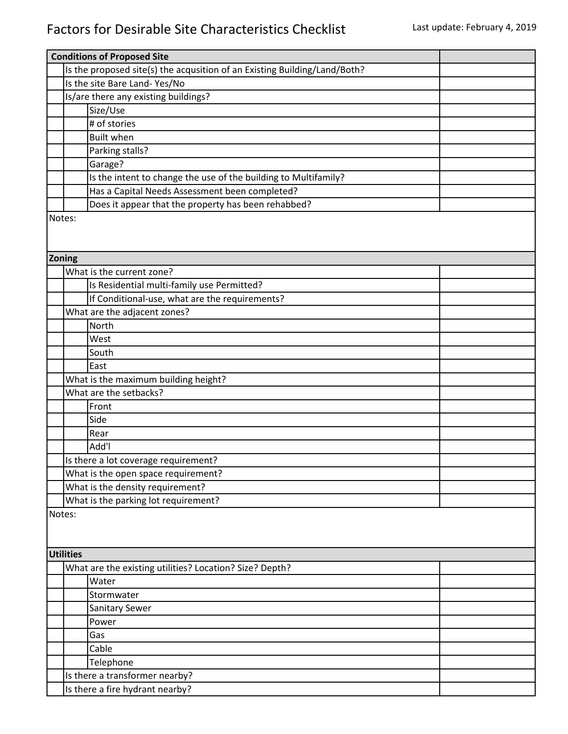## Factors for Desirable Site Characteristics Checklist Last update: February 4, 2019

|        | <b>Conditions of Proposed Site</b>                                        |                                                                 |  |  |  |  |  |
|--------|---------------------------------------------------------------------------|-----------------------------------------------------------------|--|--|--|--|--|
|        | Is the proposed site(s) the acqusition of an Existing Building/Land/Both? |                                                                 |  |  |  |  |  |
|        |                                                                           | Is the site Bare Land- Yes/No                                   |  |  |  |  |  |
|        |                                                                           | Is/are there any existing buildings?                            |  |  |  |  |  |
|        |                                                                           | Size/Use                                                        |  |  |  |  |  |
|        |                                                                           | # of stories                                                    |  |  |  |  |  |
|        |                                                                           | <b>Built when</b>                                               |  |  |  |  |  |
|        |                                                                           | Parking stalls?                                                 |  |  |  |  |  |
|        |                                                                           |                                                                 |  |  |  |  |  |
|        |                                                                           | Garage?                                                         |  |  |  |  |  |
|        |                                                                           | Is the intent to change the use of the building to Multifamily? |  |  |  |  |  |
|        |                                                                           | Has a Capital Needs Assessment been completed?                  |  |  |  |  |  |
|        |                                                                           | Does it appear that the property has been rehabbed?             |  |  |  |  |  |
| Notes: |                                                                           |                                                                 |  |  |  |  |  |
|        |                                                                           |                                                                 |  |  |  |  |  |
|        |                                                                           |                                                                 |  |  |  |  |  |
| Zoning |                                                                           |                                                                 |  |  |  |  |  |
|        |                                                                           | What is the current zone?                                       |  |  |  |  |  |
|        |                                                                           | Is Residential multi-family use Permitted?                      |  |  |  |  |  |
|        |                                                                           | If Conditional-use, what are the requirements?                  |  |  |  |  |  |
|        |                                                                           | What are the adjacent zones?                                    |  |  |  |  |  |
|        |                                                                           | North                                                           |  |  |  |  |  |
|        |                                                                           | West                                                            |  |  |  |  |  |
|        |                                                                           | South                                                           |  |  |  |  |  |
|        |                                                                           | East                                                            |  |  |  |  |  |
|        |                                                                           | What is the maximum building height?                            |  |  |  |  |  |
|        |                                                                           | What are the setbacks?                                          |  |  |  |  |  |
|        |                                                                           | Front                                                           |  |  |  |  |  |
|        |                                                                           | Side                                                            |  |  |  |  |  |
|        |                                                                           | Rear                                                            |  |  |  |  |  |
|        |                                                                           | Add'l                                                           |  |  |  |  |  |
|        |                                                                           | Is there a lot coverage requirement?                            |  |  |  |  |  |
|        |                                                                           | What is the open space requirement?                             |  |  |  |  |  |
|        |                                                                           | What is the density requirement?                                |  |  |  |  |  |
|        |                                                                           | What is the parking lot requirement?                            |  |  |  |  |  |
| Notes: |                                                                           |                                                                 |  |  |  |  |  |
|        |                                                                           |                                                                 |  |  |  |  |  |
|        |                                                                           |                                                                 |  |  |  |  |  |
|        | <b>Utilities</b>                                                          |                                                                 |  |  |  |  |  |
|        |                                                                           | What are the existing utilities? Location? Size? Depth?         |  |  |  |  |  |
|        |                                                                           | Water                                                           |  |  |  |  |  |
|        |                                                                           | Stormwater                                                      |  |  |  |  |  |
|        |                                                                           | Sanitary Sewer                                                  |  |  |  |  |  |
|        |                                                                           | Power                                                           |  |  |  |  |  |
|        |                                                                           | Gas                                                             |  |  |  |  |  |
|        |                                                                           | Cable                                                           |  |  |  |  |  |
|        |                                                                           | Telephone                                                       |  |  |  |  |  |
|        | Is there a transformer nearby?                                            |                                                                 |  |  |  |  |  |
|        |                                                                           | Is there a fire hydrant nearby?                                 |  |  |  |  |  |
|        |                                                                           |                                                                 |  |  |  |  |  |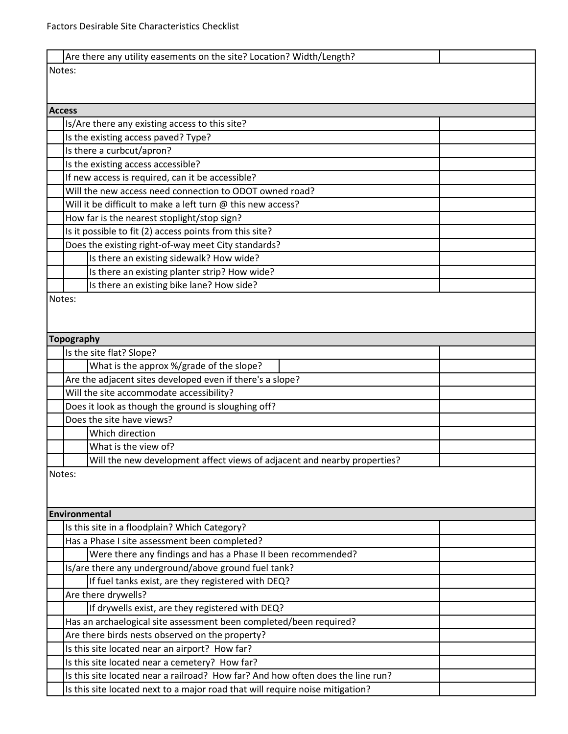|               | Are there any utility easements on the site? Location? Width/Length?                      |  |  |  |  |  |
|---------------|-------------------------------------------------------------------------------------------|--|--|--|--|--|
| Notes:        |                                                                                           |  |  |  |  |  |
|               |                                                                                           |  |  |  |  |  |
|               |                                                                                           |  |  |  |  |  |
| <b>Access</b> |                                                                                           |  |  |  |  |  |
|               | Is/Are there any existing access to this site?                                            |  |  |  |  |  |
|               | Is the existing access paved? Type?                                                       |  |  |  |  |  |
|               | Is there a curbcut/apron?                                                                 |  |  |  |  |  |
|               | Is the existing access accessible?                                                        |  |  |  |  |  |
|               | If new access is required, can it be accessible?                                          |  |  |  |  |  |
|               | Will the new access need connection to ODOT owned road?                                   |  |  |  |  |  |
|               | Will it be difficult to make a left turn @ this new access?                               |  |  |  |  |  |
|               | How far is the nearest stoplight/stop sign?                                               |  |  |  |  |  |
|               | Is it possible to fit (2) access points from this site?                                   |  |  |  |  |  |
|               | Does the existing right-of-way meet City standards?                                       |  |  |  |  |  |
|               | Is there an existing sidewalk? How wide?<br>Is there an existing planter strip? How wide? |  |  |  |  |  |
|               | Is there an existing bike lane? How side?                                                 |  |  |  |  |  |
| Notes:        |                                                                                           |  |  |  |  |  |
|               |                                                                                           |  |  |  |  |  |
|               |                                                                                           |  |  |  |  |  |
|               | <b>Topography</b>                                                                         |  |  |  |  |  |
|               | Is the site flat? Slope?                                                                  |  |  |  |  |  |
|               | What is the approx %/grade of the slope?                                                  |  |  |  |  |  |
|               | Are the adjacent sites developed even if there's a slope?                                 |  |  |  |  |  |
|               | Will the site accommodate accessibility?                                                  |  |  |  |  |  |
|               | Does it look as though the ground is sloughing off?                                       |  |  |  |  |  |
|               | Does the site have views?                                                                 |  |  |  |  |  |
|               | Which direction                                                                           |  |  |  |  |  |
|               | What is the view of?                                                                      |  |  |  |  |  |
|               | Will the new development affect views of adjacent and nearby properties?                  |  |  |  |  |  |
| Notes:        |                                                                                           |  |  |  |  |  |
|               |                                                                                           |  |  |  |  |  |
|               |                                                                                           |  |  |  |  |  |
|               | Environmental                                                                             |  |  |  |  |  |
|               | Is this site in a floodplain? Which Category?                                             |  |  |  |  |  |
|               | Has a Phase I site assessment been completed?                                             |  |  |  |  |  |
|               | Were there any findings and has a Phase II been recommended?                              |  |  |  |  |  |
|               | Is/are there any underground/above ground fuel tank?                                      |  |  |  |  |  |
|               | If fuel tanks exist, are they registered with DEQ?                                        |  |  |  |  |  |
|               | Are there drywells?                                                                       |  |  |  |  |  |
|               | If drywells exist, are they registered with DEQ?                                          |  |  |  |  |  |
|               | Has an archaelogical site assessment been completed/been required?                        |  |  |  |  |  |
|               | Are there birds nests observed on the property?                                           |  |  |  |  |  |
|               | Is this site located near an airport? How far?                                            |  |  |  |  |  |
|               | Is this site located near a cemetery? How far?                                            |  |  |  |  |  |
|               | Is this site located near a railroad? How far? And how often does the line run?           |  |  |  |  |  |
|               | Is this site located next to a major road that will require noise mitigation?             |  |  |  |  |  |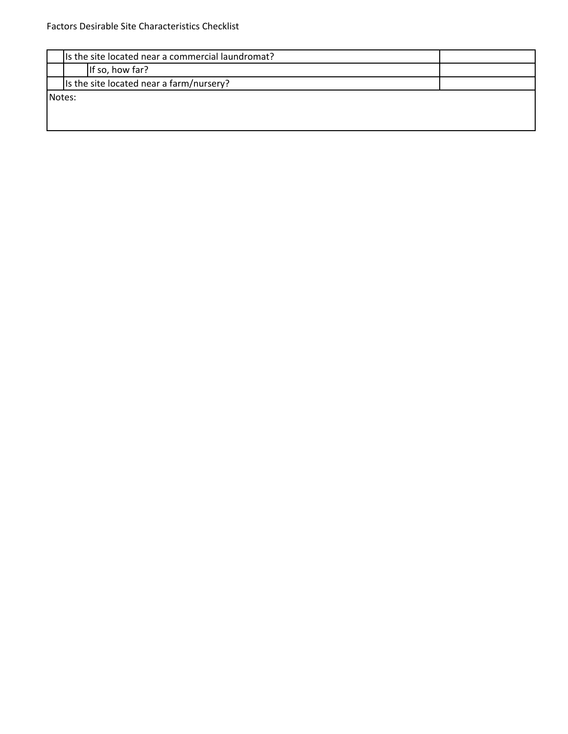|        | Is the site located near a commercial laundromat? |  |  |  |  |  |
|--------|---------------------------------------------------|--|--|--|--|--|
|        | If so, how far?                                   |  |  |  |  |  |
|        | Is the site located near a farm/nursery?          |  |  |  |  |  |
| Notes: |                                                   |  |  |  |  |  |
|        |                                                   |  |  |  |  |  |
|        |                                                   |  |  |  |  |  |